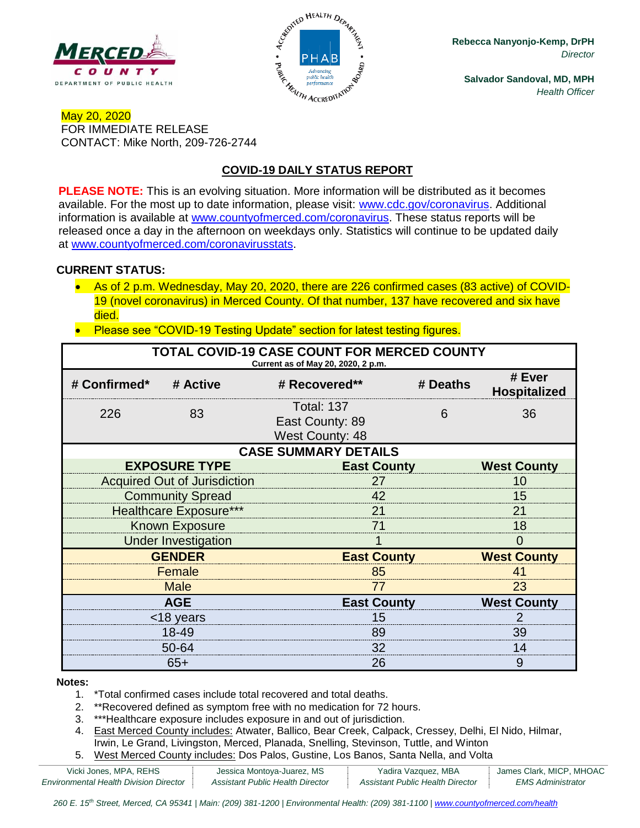



**Rebecca Nanyonjo-Kemp, DrPH** *Director*

**Salvador Sandoval, MD, MPH** *Health Officer*

### May 20, 2020 FOR IMMEDIATE RELEASE CONTACT: Mike North, 209-726-2744

## **COVID-19 DAILY STATUS REPORT**

**PLEASE NOTE:** This is an evolving situation. More information will be distributed as it becomes available. For the most up to date information, please visit: [www.cdc.gov/coronavirus.](http://www.cdc.gov/coronavirus) Additional information is available at [www.countyofmerced.com/coronavirus.](http://www.countyofmerced.com/coronavirus) These status reports will be released once a day in the afternoon on weekdays only. Statistics will continue to be updated daily at [www.countyofmerced.com/coronavirusstats.](http://www.countyofmerced.com/coronavirusstats)

#### **CURRENT STATUS:**

- As of 2 p.m. Wednesday, May 20, 2020, there are 226 confirmed cases (83 active) of COVID-19 (novel coronavirus) in Merced County. Of that number, 137 have recovered and six have died.
- Please see "COVID-19 Testing Update" section for latest testing figures.

| TOTAL COVID-19 CASE COUNT FOR MERCED COUNTY<br>Current as of May 20, 2020, 2 p.m. |                                     |                                                                |                    |                               |  |  |  |
|-----------------------------------------------------------------------------------|-------------------------------------|----------------------------------------------------------------|--------------------|-------------------------------|--|--|--|
| # Confirmed*                                                                      | # Active                            | # Recovered**                                                  | # Deaths           | # Ever<br><b>Hospitalized</b> |  |  |  |
| 226                                                                               | 83                                  | <b>Total: 137</b><br>East County: 89<br><b>West County: 48</b> | 6                  | 36                            |  |  |  |
| <b>CASE SUMMARY DETAILS</b>                                                       |                                     |                                                                |                    |                               |  |  |  |
|                                                                                   | <b>EXPOSURE TYPE</b>                | <b>East County</b>                                             |                    | <b>West County</b>            |  |  |  |
|                                                                                   | <b>Acquired Out of Jurisdiction</b> | 27                                                             |                    |                               |  |  |  |
|                                                                                   | <b>Community Spread</b>             | 42                                                             |                    |                               |  |  |  |
| <b>Healthcare Exposure***</b>                                                     |                                     | 21                                                             |                    |                               |  |  |  |
| <b>Known Exposure</b>                                                             |                                     | 71                                                             |                    |                               |  |  |  |
| <b>Under Investigation</b>                                                        |                                     |                                                                |                    |                               |  |  |  |
| <b>GENDER</b>                                                                     |                                     |                                                                | <b>East County</b> |                               |  |  |  |
| Female                                                                            |                                     | 85                                                             |                    |                               |  |  |  |
| <b>Male</b>                                                                       |                                     | 77                                                             |                    |                               |  |  |  |
| <b>AGE</b>                                                                        |                                     |                                                                | <b>East County</b> |                               |  |  |  |
| <18 years                                                                         |                                     | 15                                                             |                    |                               |  |  |  |
| 18-49                                                                             |                                     | 89                                                             |                    | 39                            |  |  |  |
| 50-64                                                                             |                                     | 32                                                             |                    | 14                            |  |  |  |
| $65+$                                                                             |                                     | 26                                                             |                    | 9                             |  |  |  |

#### **Notes:**

- 1. \*Total confirmed cases include total recovered and total deaths.
- 2. \*\*Recovered defined as symptom free with no medication for 72 hours.
- 3. \*\*\*Healthcare exposure includes exposure in and out of jurisdiction.
- 4. East Merced County includes: Atwater, Ballico, Bear Creek, Calpack, Cressey, Delhi, El Nido, Hilmar, Irwin, Le Grand, Livingston, Merced, Planada, Snelling, Stevinson, Tuttle, and Winton
- 5. West Merced County includes: Dos Palos, Gustine, Los Banos, Santa Nella, and Volta

| Vicki Jones, MPA, REHS                 | Jessica Montoya-Juarez, MS       | Yadira Vazquez, MBA              | James Clark, MICP, MHOAC |
|----------------------------------------|----------------------------------|----------------------------------|--------------------------|
| Environmental Health Division Director | Assistant Public Health Director | Assistant Public Health Director | EMS Administrator        |

260 E. 15<sup>th</sup> Street, Merced, CA 95341 | Main: (209) 381-1200 | Environmental Health: (209) 381-1100 | [www.countyofmerced.com/health](http://www.countyofmerced.com/health)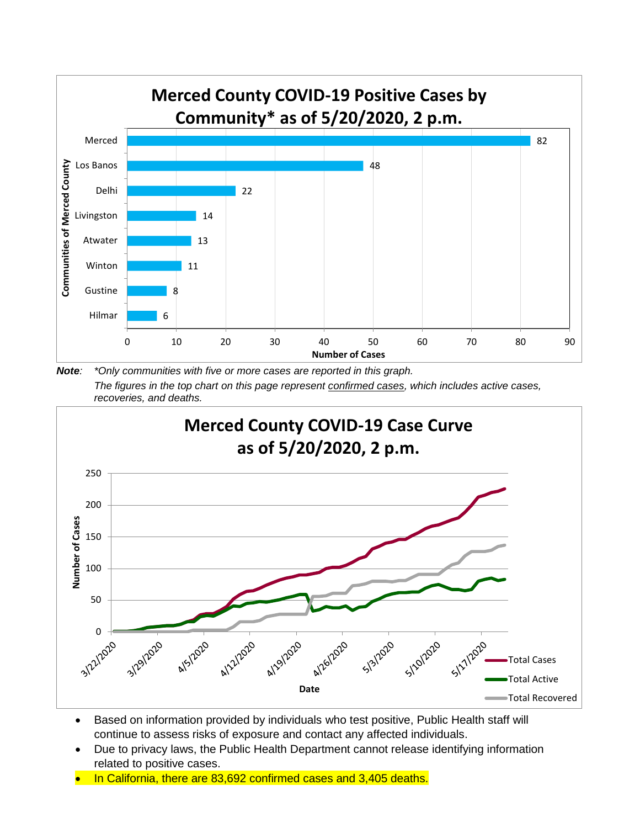

*Note: \*Only communities with five or more cases are reported in this graph. The figures in the top chart on this page represent confirmed cases, which includes active cases, recoveries, and deaths.*



- Based on information provided by individuals who test positive, Public Health staff will continue to assess risks of exposure and contact any affected individuals.
- Due to privacy laws, the Public Health Department cannot release identifying information related to positive cases.
- In California, there are 83,692 confirmed cases and 3,405 deaths.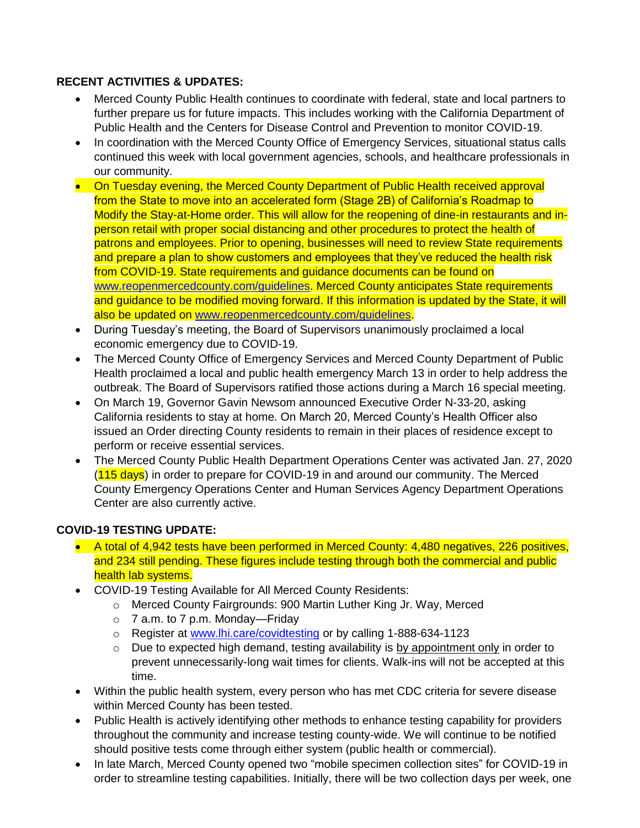### **RECENT ACTIVITIES & UPDATES:**

- Merced County Public Health continues to coordinate with federal, state and local partners to further prepare us for future impacts. This includes working with the California Department of Public Health and the Centers for Disease Control and Prevention to monitor COVID-19.
- In coordination with the Merced County Office of Emergency Services, situational status calls continued this week with local government agencies, schools, and healthcare professionals in our community.
- On Tuesday evening, the Merced County Department of Public Health received approval from the State to move into an accelerated form (Stage 2B) of California's Roadmap to Modify the Stay-at-Home order. This will allow for the reopening of dine-in restaurants and inperson retail with proper social distancing and other procedures to protect the health of patrons and employees. Prior to opening, businesses will need to review State requirements and prepare a plan to show customers and employees that they've reduced the health risk from COVID-19. State requirements and guidance documents can be found on [www.reopenmercedcounty.com/guidelines.](http://www.reopenmercedcounty.com/guidelines) Merced County anticipates State requirements and guidance to be modified moving forward. If this information is updated by the State, it will also be updated on www.reopenmercedcounty.com/quidelines.
- During Tuesday's meeting, the Board of Supervisors unanimously proclaimed a local economic emergency due to COVID-19.
- The Merced County Office of Emergency Services and Merced County Department of Public Health proclaimed a local and public health emergency March 13 in order to help address the outbreak. The Board of Supervisors ratified those actions during a March 16 special meeting.
- On March 19, Governor Gavin Newsom announced Executive Order N-33-20, asking California residents to stay at home. On March 20, Merced County's Health Officer also issued an Order directing County residents to remain in their places of residence except to perform or receive essential services.
- The Merced County Public Health Department Operations Center was activated Jan. 27, 2020  $(115 \text{ days})$  in order to prepare for COVID-19 in and around our community. The Merced County Emergency Operations Center and Human Services Agency Department Operations Center are also currently active.

### **COVID-19 TESTING UPDATE:**

- A total of 4,942 tests have been performed in Merced County: 4,480 negatives, 226 positives, and 234 still pending. These figures include testing through both the commercial and public health lab systems.
- COVID-19 Testing Available for All Merced County Residents:
	- o Merced County Fairgrounds: 900 Martin Luther King Jr. Way, Merced
	- o 7 a.m. to 7 p.m. Monday—Friday
	- o Register at [www.lhi.care/covidtesting](http://www.lhi.care/covidtesting) or by calling 1-888-634-1123
	- $\circ$  Due to expected high demand, testing availability is by appointment only in order to prevent unnecessarily-long wait times for clients. Walk-ins will not be accepted at this time.
- Within the public health system, every person who has met CDC criteria for severe disease within Merced County has been tested.
- Public Health is actively identifying other methods to enhance testing capability for providers throughout the community and increase testing county-wide. We will continue to be notified should positive tests come through either system (public health or commercial).
- In late March, Merced County opened two "mobile specimen collection sites" for COVID-19 in order to streamline testing capabilities. Initially, there will be two collection days per week, one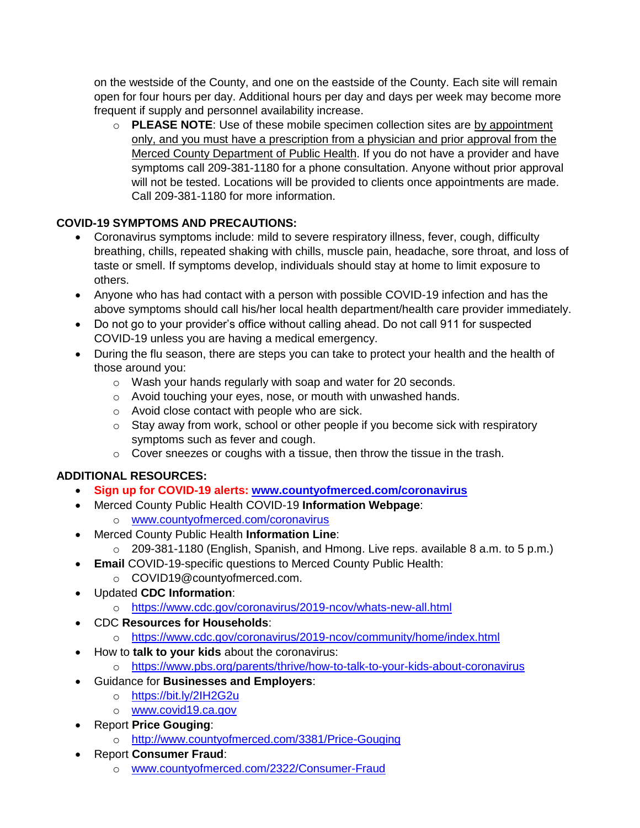on the westside of the County, and one on the eastside of the County. Each site will remain open for four hours per day. Additional hours per day and days per week may become more frequent if supply and personnel availability increase.

o **PLEASE NOTE**: Use of these mobile specimen collection sites are by appointment only, and you must have a prescription from a physician and prior approval from the Merced County Department of Public Health. If you do not have a provider and have symptoms call 209-381-1180 for a phone consultation. Anyone without prior approval will not be tested. Locations will be provided to clients once appointments are made. Call 209-381-1180 for more information.

# **COVID-19 SYMPTOMS AND PRECAUTIONS:**

- Coronavirus symptoms include: mild to severe respiratory illness, fever, cough, difficulty breathing, chills, repeated shaking with chills, muscle pain, headache, sore throat, and loss of taste or smell. If symptoms develop, individuals should stay at home to limit exposure to others.
- Anyone who has had contact with a person with possible COVID-19 infection and has the above symptoms should call his/her local health department/health care provider immediately.
- Do not go to your provider's office without calling ahead. Do not call 911 for suspected COVID-19 unless you are having a medical emergency.
- During the flu season, there are steps you can take to protect your health and the health of those around you:
	- o Wash your hands regularly with soap and water for 20 seconds.
	- o Avoid touching your eyes, nose, or mouth with unwashed hands.
	- o Avoid close contact with people who are sick.
	- $\circ$  Stay away from work, school or other people if you become sick with respiratory symptoms such as fever and cough.
	- o Cover sneezes or coughs with a tissue, then throw the tissue in the trash.

# **ADDITIONAL RESOURCES:**

- **Sign up for COVID-19 alerts: [www.countyofmerced.com/coronavirus](http://www.countyofmerced.com/coronavirus)**
- Merced County Public Health COVID-19 **Information Webpage**:
	- o [www.countyofmerced.com/coronavirus](http://www.countyofmerced.com/coronavirus)
- Merced County Public Health **Information Line**:
	- o 209-381-1180 (English, Spanish, and Hmong. Live reps. available 8 a.m. to 5 p.m.)
- **Email** COVID-19-specific questions to Merced County Public Health:
	- o COVID19@countyofmerced.com.
- Updated **CDC Information**:
	- o <https://www.cdc.gov/coronavirus/2019-ncov/whats-new-all.html>
- CDC **Resources for Households**:
	- o <https://www.cdc.gov/coronavirus/2019-ncov/community/home/index.html>
- How to **talk to your kids** about the coronavirus:
	- o <https://www.pbs.org/parents/thrive/how-to-talk-to-your-kids-about-coronavirus>
- Guidance for **Businesses and Employers**:
	- o <https://bit.ly/2IH2G2u>
	- o [www.covid19.ca.gov](http://www.covid19.ca.gov/)
- Report **Price Gouging**:
	- o <http://www.countyofmerced.com/3381/Price-Gouging>
	- Report **Consumer Fraud**:
		- o [www.countyofmerced.com/2322/Consumer-Fraud](http://www.countyofmerced.com/2322/Consumer-Fraud)